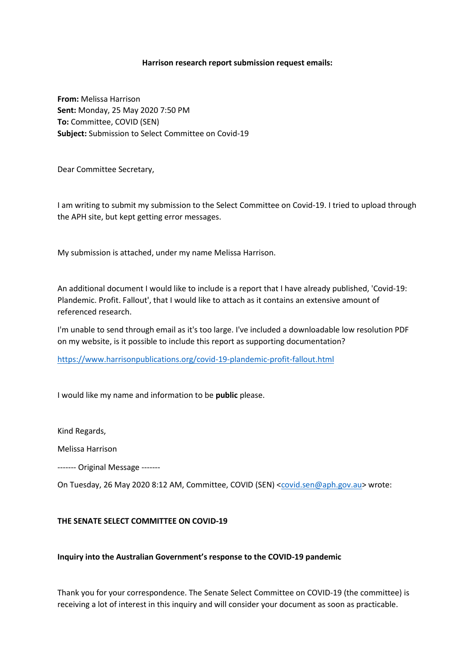### **Harrison research report submission request emails:**

**From:** Melissa Harrison **Sent:** Monday, 25 May 2020 7:50 PM **To:** Committee, COVID (SEN) **Subject:** Submission to Select Committee on Covid-19

Dear Committee Secretary,

I am writing to submit my submission to the Select Committee on Covid-19. I tried to upload through the APH site, but kept getting error messages.

My submission is attached, under my name Melissa Harrison.

An additional document I would like to include is a report that I have already published, 'Covid-19: Plandemic. Profit. Fallout', that I would like to attach as it contains an extensive amount of referenced research.

I'm unable to send through email as it's too large. I've included a downloadable low resolution PDF on my website, is it possible to include this report as supporting documentation?

<https://www.harrisonpublications.org/covid-19-plandemic-profit-fallout.html>

I would like my name and information to be **public** please.

Kind Regards,

Melissa Harrison

‐‐‐‐‐‐‐ Original Message ‐‐‐‐‐‐‐

On Tuesday, 26 May 2020 8:12 AM, Committee, COVID (SEN) [<covid.sen@aph.gov.au>](mailto:covid.sen@aph.gov.au) wrote:

# **THE SENATE SELECT COMMITTEE ON COVID-19**

## **Inquiry into the Australian Government's response to the COVID-19 pandemic**

Thank you for your correspondence. The Senate Select Committee on COVID-19 (the committee) is receiving a lot of interest in this inquiry and will consider your document as soon as practicable.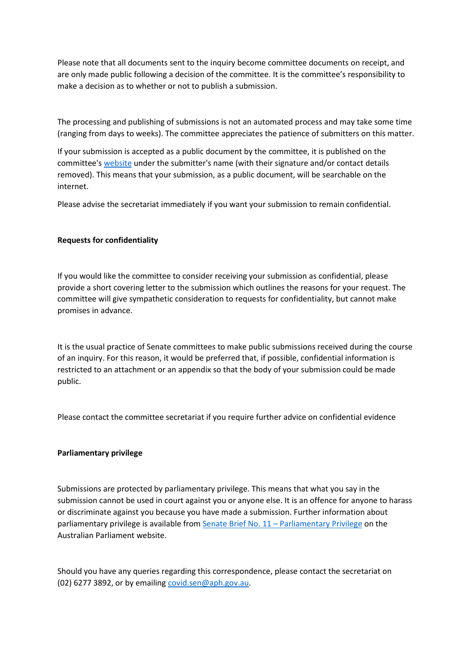Please note that all documents sent to the inquiry become committee documents on receipt, and are only made public following a decision of the committee. It is the committee's responsibility to make a decision as to whether or not to publish a submission.

The processing and publishing of submissions is not an automated process and may take some time (ranging from days to weeks). The committee appreciates the patience of submitters on this matter.

If your submission is accepted as a public document by the committee, it is published on the committee's [website](https://www.aph.gov.au/Parliamentary_Business/Committees/Senate/COVID-19/COVID19) under the submitter's name (with their signature and/or contact details removed). This means that your submission, as a public document, will be searchable on the internet.

Please advise the secretariat immediately if you want your submission to remain confidential.

## **Requests for confidentiality**

If you would like the committee to consider receiving your submission as confidential, please provide a short covering letter to the submission which outlines the reasons for your request. The committee will give sympathetic consideration to requests for confidentiality, but cannot make promises in advance.

It is the usual practice of Senate committees to make public submissions received during the course of an inquiry. For this reason, it would be preferred that, if possible, confidential information is restricted to an attachment or an appendix so that the body of your submission could be made public.

Please contact the committee secretariat if you require further advice on confidential evidence

#### **Parliamentary privilege**

Submissions are protected by parliamentary privilege. This means that what you say in the submission cannot be used in court against you or anyone else. It is an offence for anyone to harass or discriminate against you because you have made a submission. Further information about parliamentary privilege is available from Senate Brief No. 11 – [Parliamentary Privilege](http://www.aph.gov.au/About_Parliament/Senate/Powers_practice_n_procedures/Senate_Briefs/Brief11) on the Australian Parliament website.

Should you have any queries regarding this correspondence, please contact the secretariat on (02) 6277 3892, or by emailin[g covid.sen@aph.gov.au.](covid.sen@aph.gov.au)